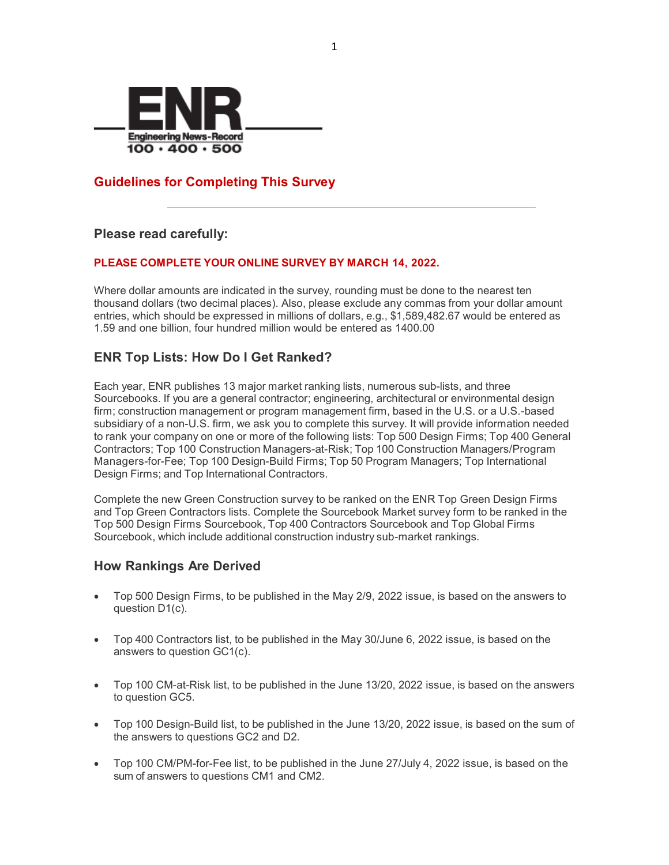

## **Guidelines for Completing This Survey**

### **Please read carefully:**

### **PLEASE COMPLETE YOUR ONLINE SURVEY BY MARCH 14, 2022.**

Where dollar amounts are indicated in the survey, rounding must be done to the nearest ten thousand dollars (two decimal places). Also, please exclude any commas from your dollar amount entries, which should be expressed in millions of dollars, e.g., \$1,589,482.67 would be entered as 1.59 and one billion, four hundred million would be entered as 1400.00

## **ENR Top Lists: How Do I Get Ranked?**

Each year, ENR publishes 13 major market ranking lists, numerous sub-lists, and three Sourcebooks. If you are a general contractor; engineering, architectural or environmental design firm; construction management or program management firm, based in the U.S. or a U.S.-based subsidiary of a non-U.S. firm, we ask you to complete this survey. It will provide information needed to rank your company on one or more of the following lists: Top 500 Design Firms; Top 400 General Contractors; Top 100 Construction Managers-at-Risk; Top 100 Construction Managers/Program Managers-for-Fee; Top 100 Design-Build Firms; Top 50 Program Managers; Top International Design Firms; and Top International Contractors.

Complete the new Green Construction survey to be ranked on the ENR Top Green Design Firms and Top Green Contractors lists. Complete the Sourcebook Market survey form to be ranked in the Top 500 Design Firms Sourcebook, Top 400 Contractors Sourcebook and Top Global Firms Sourcebook, which include additional construction industry sub-market rankings.

### **How Rankings Are Derived**

- Top 500 Design Firms, to be published in the May 2/9, 2022 issue, is based on the answers to question D1(c).
- Top 400 Contractors list, to be published in the May 30/June 6, 2022 issue, is based on the answers to question GC1(c).
- Top 100 CM-at-Risk list, to be published in the June 13/20, 2022 issue, is based on the answers to question GC5.
- Top 100 Design-Build list, to be published in the June 13/20, 2022 issue, is based on the sum of the answers to questions GC2 and D2.
- Top 100 CM/PM-for-Fee list, to be published in the June 27/July 4, 2022 issue, is based on the sum of answers to questions CM1 and CM2.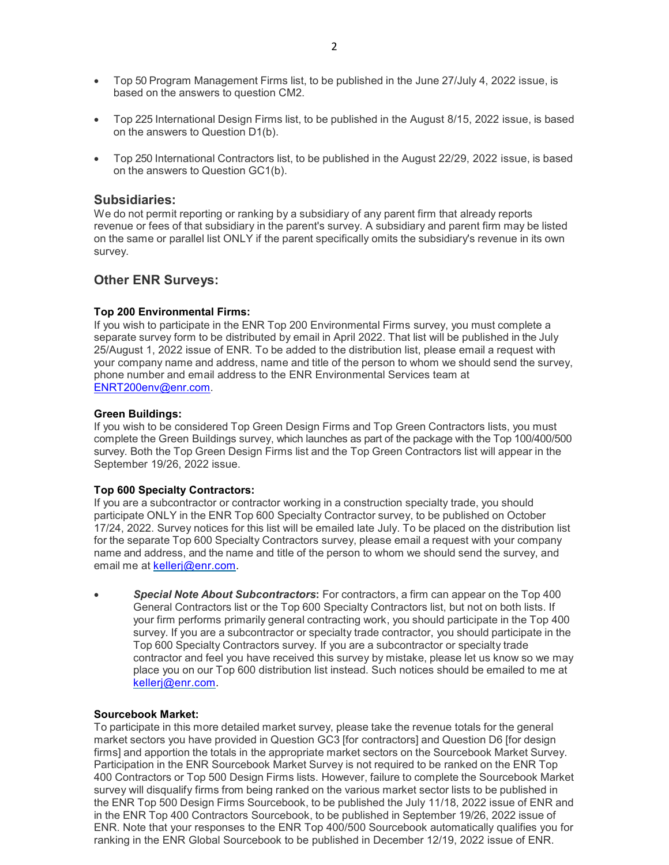- Top 50 Program Management Firms list, to be published in the June 27/July 4, 2022 issue, is based on the answers to question CM2.
- Top 225 International Design Firms list, to be published in the August 8/15, 2022 issue, is based on the answers to Question D1(b).
- Top 250 International Contractors list, to be published in the August 22/29, 2022 issue, is based on the answers to Question GC1(b).

#### **Subsidiaries:**

We do not permit reporting or ranking by a subsidiary of any parent firm that already reports revenue or fees of that subsidiary in the parent's survey. A subsidiary and parent firm may be listed on the same or parallel list ONLY if the parent specifically omits the subsidiary's revenue in its own survey.

### **Other ENR Surveys:**

#### **Top 200 Environmental Firms:**

If you wish to participate in the ENR Top 200 Environmental Firms survey, you must complete a separate survey form to be distributed by email in April 2022. That list will be published in the July 25/August 1, 2022 issue of ENR. To be added to the distribution list, please email a request with your company name and address, name and title of the person to whom we should send the survey, phone number and email address to the ENR Environmental Services team at [ENRT200env@enr.com.](mailto:ENRT200env@enr.com)

#### **Green Buildings:**

If you wish to be considered Top Green Design Firms and Top Green Contractors lists, you must complete the Green Buildings survey, which launches as part of the package with the Top 100/400/500 survey. Both the Top Green Design Firms list and the Top Green Contractors list will appear in the September 19/26, 2022 issue.

#### **Top 600 Specialty Contractors:**

If you are a subcontractor or contractor working in a construction specialty trade, you should participate ONLY in the ENR Top 600 Specialty Contractor survey, to be published on October 17/24, 2022. Survey notices for this list will be emailed late July. To be placed on the distribution list for the separate Top 600 Specialty Contractors survey, please email a request with your company name and address, and the name and title of the person to whom we should send the survey, and email me at [kellerj@enr.com.](mailto:kellerj@enr.com)

• *Special Note About Subcontractors***:** For contractors, a firm can appear on the Top 400 General Contractors list or the Top 600 Specialty Contractors list, but not on both lists. If your firm performs primarily general contracting work, you should participate in the Top 400 survey. If you are a subcontractor or specialty trade contractor, you should participate in the Top 600 Specialty Contractors survey. If you are a subcontractor or specialty trade contractor and feel you have received this survey by mistake, please let us know so we may place you on our Top 600 distribution list instead. Such notices should be emailed to me at [kellerj@enr.com.](mailto:kellerj@enr.com)

#### **Sourcebook Market:**

To participate in this more detailed market survey, please take the revenue totals for the general market sectors you have provided in Question GC3 [for contractors] and Question D6 [for design firms] and apportion the totals in the appropriate market sectors on the Sourcebook Market Survey. Participation in the ENR Sourcebook Market Survey is not required to be ranked on the ENR Top 400 Contractors or Top 500 Design Firms lists. However, failure to complete the Sourcebook Market survey will disqualify firms from being ranked on the various market sector lists to be published in the ENR Top 500 Design Firms Sourcebook, to be published the July 11/18, 2022 issue of ENR and in the ENR Top 400 Contractors Sourcebook, to be published in September 19/26, 2022 issue of ENR. Note that your responses to the ENR Top 400/500 Sourcebook automatically qualifies you for ranking in the ENR Global Sourcebook to be published in December 12/19, 2022 issue of ENR.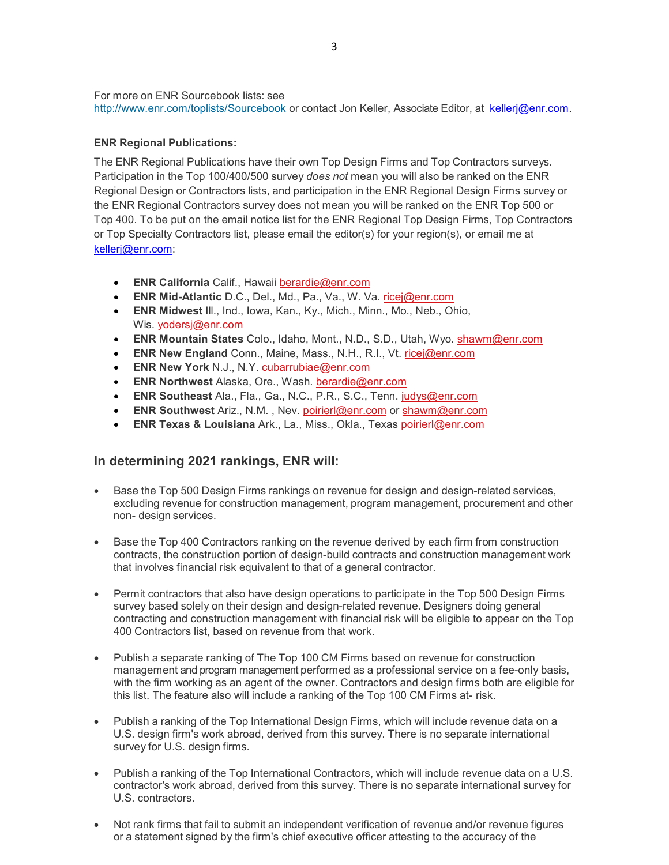For more on ENR Sourcebook lists: see <http://www.enr.com/toplists/Sourcebook> or contact Jon Keller, Associate Editor, at [kellerj@enr.com.](mailto:kellerj@enr.com)

#### **ENR Regional Publications:**

The ENR Regional Publications have their own Top Design Firms and Top Contractors surveys. Participation in the Top 100/400/500 survey *does not* mean you will also be ranked on the ENR Regional Design or Contractors lists, and participation in the ENR Regional Design Firms survey or the ENR Regional Contractors survey does not mean you will be ranked on the ENR Top 500 or Top 400. To be put on the email notice list for the ENR Regional Top Design Firms, Top Contractors or Top Specialty Contractors list, please email the editor(s) for your region(s), or email me at [kellerj@enr.com:](mailto:kellerj@enr.com)

- **ENR California** Calif., Hawaii [berardie@enr.com](mailto:ricej@enr.com)
- **ENR Mid-Atlantic** D.C., Del., Md., Pa., Va., W. Va. [ricej@enr.com](mailto:ricej@enr.com)
- **ENR Midwest** Ill., Ind., Iowa, Kan., Ky., Mich., Minn., Mo., Neb., Ohio, Wis. [yodersj@enr.com](mailto:yodersj@enr.com)
- **ENR Mountain States** Colo., Idaho, Mont., N.D., S.D., Utah, Wyo. [shawm@enr.com](mailto:shawm@enr.com)
- **ENR New England** Conn., Maine, Mass., N.H., R.I., Vt. [ricej@enr.com](mailto:ricej@enr.com)
- **ENR New York** N.J., N.Y. [cubarrubiae@enr.com](mailto:cubarrubiae@enr.com)
- **ENR Northwest** Alaska, Ore., Wash. [berardie@enr.com](mailto:ricej@enr.com)
- **ENR Southeast** Ala., Fla., Ga., N.C., P.R., S.C., Tenn. [judys@enr.com](mailto:judys@enr.com)
- **ENR Southwest** Ariz., N.M. , Nev. [poirierl@enr.com](mailto:poirierl@enr.com) or [shawm@enr.com](mailto:shawm@enr.com)
- **ENR Texas & Louisiana** Ark., La., Miss., Okla., Texas [poirierl@enr.com](mailto:poirierl@enr.com)

### **In determining 2021 rankings, ENR will:**

- Base the Top 500 Design Firms rankings on revenue for design and design-related services, excluding revenue for construction management, program management, procurement and other non- design services.
- Base the Top 400 Contractors ranking on the revenue derived by each firm from construction contracts, the construction portion of design-build contracts and construction management work that involves financial risk equivalent to that of a general contractor.
- Permit contractors that also have design operations to participate in the Top 500 Design Firms survey based solely on their design and design-related revenue. Designers doing general contracting and construction management with financial risk will be eligible to appear on the Top 400 Contractors list, based on revenue from that work.
- Publish a separate ranking of The Top 100 CM Firms based on revenue for construction management and program management performed as a professional service on a fee-only basis, with the firm working as an agent of the owner. Contractors and design firms both are eligible for this list. The feature also will include a ranking of the Top 100 CM Firms at- risk.
- Publish a ranking of the Top International Design Firms, which will include revenue data on a U.S. design firm's work abroad, derived from this survey. There is no separate international survey for U.S. design firms.
- Publish a ranking of the Top International Contractors, which will include revenue data on a U.S. contractor's work abroad, derived from this survey. There is no separate international survey for U.S. contractors.
- Not rank firms that fail to submit an independent verification of revenue and/or revenue figures or a statement signed by the firm's chief executive officer attesting to the accuracy of the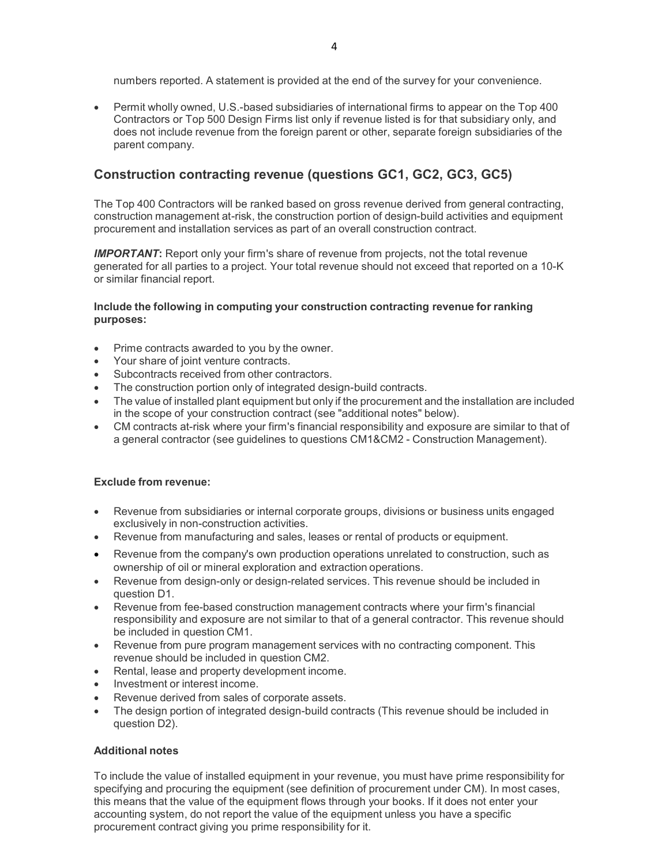numbers reported. A statement is provided at the end of the survey for your convenience.

• Permit wholly owned, U.S.-based subsidiaries of international firms to appear on the Top 400 Contractors or Top 500 Design Firms list only if revenue listed is for that subsidiary only, and does not include revenue from the foreign parent or other, separate foreign subsidiaries of the parent company.

## **Construction contracting revenue (questions GC1, GC2, GC3, GC5)**

The Top 400 Contractors will be ranked based on gross revenue derived from general contracting, construction management at-risk, the construction portion of design-build activities and equipment procurement and installation services as part of an overall construction contract.

**IMPORTANT:** Report only your firm's share of revenue from projects, not the total revenue generated for all parties to a project. Your total revenue should not exceed that reported on a 10-K or similar financial report.

#### **Include the following in computing your construction contracting revenue for ranking purposes:**

- Prime contracts awarded to you by the owner.
- Your share of joint venture contracts.
- Subcontracts received from other contractors.
- The construction portion only of integrated design-build contracts.
- The value of installed plant equipment but only if the procurement and the installation are included in the scope of your construction contract (see "additional notes" below).
- CM contracts at-risk where your firm's financial responsibility and exposure are similar to that of a general contractor (see guidelines to questions CM1&CM2 - Construction Management).

#### **Exclude from revenue:**

- Revenue from subsidiaries or internal corporate groups, divisions or business units engaged exclusively in non-construction activities.
- Revenue from manufacturing and sales, leases or rental of products or equipment.
- Revenue from the company's own production operations unrelated to construction, such as ownership of oil or mineral exploration and extraction operations.
- Revenue from design-only or design-related services. This revenue should be included in question D1.
- Revenue from fee-based construction management contracts where your firm's financial responsibility and exposure are not similar to that of a general contractor. This revenue should be included in question CM1.
- Revenue from pure program management services with no contracting component. This revenue should be included in question CM2.
- Rental, lease and property development income.
- Investment or interest income.
- Revenue derived from sales of corporate assets.
- The design portion of integrated design-build contracts (This revenue should be included in question D2).

#### **Additional notes**

To include the value of installed equipment in your revenue, you must have prime responsibility for specifying and procuring the equipment (see definition of procurement under CM). In most cases, this means that the value of the equipment flows through your books. If it does not enter your accounting system, do not report the value of the equipment unless you have a specific procurement contract giving you prime responsibility for it.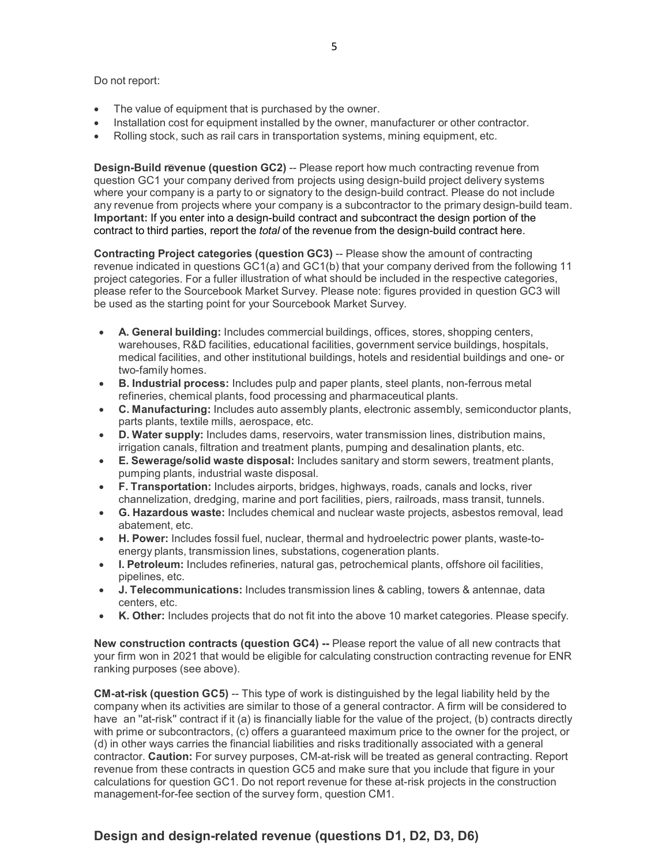Do not report:

- The value of equipment that is purchased by the owner.
- Installation cost for equipment installed by the owner, manufacturer or other contractor.
- Rolling stock, such as rail cars in transportation systems, mining equipment, etc.

**Design-Build revenue (question GC2)** -- Please report how much contracting revenue from question GC1 your company derived from projects using design-build project delivery systems where your company is a party to or signatory to the design-build contract. Please do not include any revenue from projects where your company is a subcontractor to the primary design-build team. **Important:** If you enter into a design-build contract and subcontract the design portion of the contract to third parties, report the *total* of the revenue from the design-build contract here.

**Contracting Project categories (question GC3)** -- Please show the amount of contracting revenue indicated in questions GC1(a) and GC1(b) that your company derived from the following 11 project categories. For a fuller illustration of what should be included in the respective categories, please refer to the Sourcebook Market Survey. Please note: figures provided in question GC3 will be used as the starting point for your Sourcebook Market Survey.

- **A. General building:** Includes commercial buildings, offices, stores, shopping centers, warehouses, R&D facilities, educational facilities, government service buildings, hospitals, medical facilities, and other institutional buildings, hotels and residential buildings and one- or two-family homes.
- **B. Industrial process:** Includes pulp and paper plants, steel plants, non-ferrous metal refineries, chemical plants, food processing and pharmaceutical plants.
- **C. Manufacturing:** Includes auto assembly plants, electronic assembly, semiconductor plants, parts plants, textile mills, aerospace, etc.
- **D. Water supply:** Includes dams, reservoirs, water transmission lines, distribution mains, irrigation canals, filtration and treatment plants, pumping and desalination plants, etc.
- **E. Sewerage/solid waste disposal:** Includes sanitary and storm sewers, treatment plants, pumping plants, industrial waste disposal.
- **F. Transportation:** Includes airports, bridges, highways, roads, canals and locks, river channelization, dredging, marine and port facilities, piers, railroads, mass transit, tunnels.
- **G. Hazardous waste:** Includes chemical and nuclear waste projects, asbestos removal, lead abatement, etc.
- **H. Power:** Includes fossil fuel, nuclear, thermal and hydroelectric power plants, waste-toenergy plants, transmission lines, substations, cogeneration plants.
- **I. Petroleum:** Includes refineries, natural gas, petrochemical plants, offshore oil facilities, pipelines, etc.
- **J. Telecommunications:** Includes transmission lines & cabling, towers & antennae, data centers, etc.
- **K. Other:** Includes projects that do not fit into the above 10 market categories. Please specify.

**New construction contracts (question GC4) --** Please report the value of all new contracts that your firm won in 2021 that would be eligible for calculating construction contracting revenue for ENR ranking purposes (see above).

**CM-at-risk (question GC5)** -- This type of work is distinguished by the legal liability held by the company when its activities are similar to those of a general contractor. A firm will be considered to have an "at-risk" contract if it (a) is financially liable for the value of the project, (b) contracts directly with prime or subcontractors, (c) offers a guaranteed maximum price to the owner for the project, or (d) in other ways carries the financial liabilities and risks traditionally associated with a general contractor. **Caution:** For survey purposes, CM-at-risk will be treated as general contracting. Report revenue from these contracts in question GC5 and make sure that you include that figure in your calculations for question GC1. Do not report revenue for these at-risk projects in the construction management-for-fee section of the survey form, question CM1.

# **Design and design-related revenue (questions D1, D2, D3, D6)**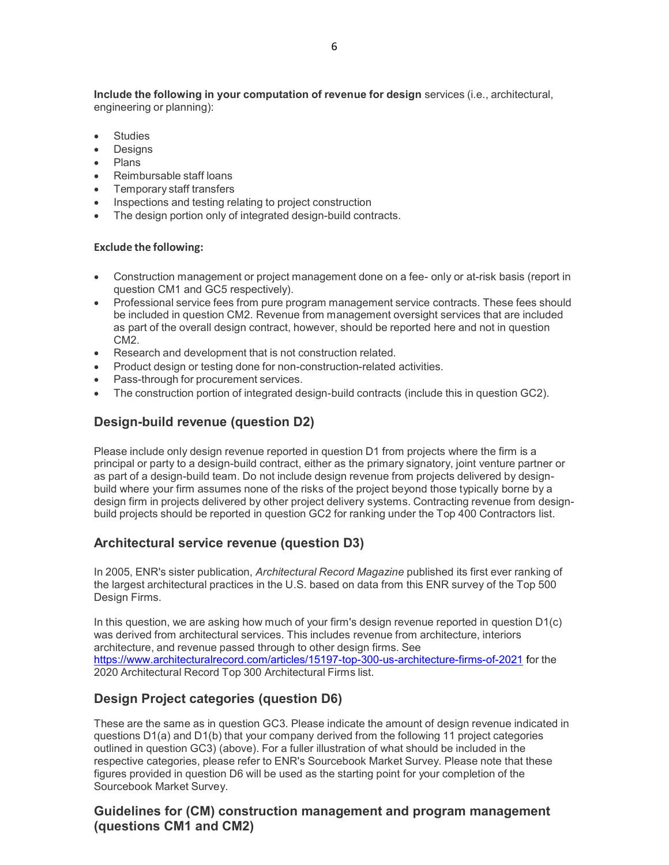**Include the following in your computation of revenue for design** services (i.e., architectural, engineering or planning):

- **Studies**
- **Designs**
- Plans
- Reimbursable staff loans
- Temporary staff transfers
- Inspections and testing relating to project construction
- The design portion only of integrated design-build contracts.

#### **Exclude the following:**

- Construction management or project management done on a fee- only or at-risk basis (report in question CM1 and GC5 respectively).
- Professional service fees from pure program management service contracts. These fees should be included in question CM2. Revenue from management oversight services that are included as part of the overall design contract, however, should be reported here and not in question CM2.
- Research and development that is not construction related.
- Product design or testing done for non-construction-related activities.
- Pass-through for procurement services.
- The construction portion of integrated design-build contracts (include this in question GC2).

# **Design-build revenue (question D2)**

Please include only design revenue reported in question D1 from projects where the firm is a principal or party to a design-build contract, either as the primary signatory, joint venture partner or as part of a design-build team. Do not include design revenue from projects delivered by designbuild where your firm assumes none of the risks of the project beyond those typically borne by a design firm in projects delivered by other project delivery systems. Contracting revenue from designbuild projects should be reported in question GC2 for ranking under the Top 400 Contractors list.

### **Architectural service revenue (question D3)**

In 2005, ENR's sister publication, *Architectural Record Magazine* published its first ever ranking of the largest architectural practices in the U.S. based on data from this ENR survey of the Top 500 Design Firms.

In this question, we are asking how much of your firm's design revenue reported in question D1(c) was derived from architectural services. This includes revenue from architecture, interiors architecture, and revenue passed through to other design firms. See <https://www.architecturalrecord.com/articles/15197-top-300-us-architecture-firms-of-2021> for the 2020 Architectural Record Top 300 Architectural Firms list.

# **Design Project categories (question D6)**

These are the same as in question GC3. Please indicate the amount of design revenue indicated in questions D1(a) and D1(b) that your company derived from the following 11 project categories outlined in question GC3) (above). For a fuller illustration of what should be included in the respective categories, please refer to ENR's Sourcebook Market Survey. Please note that these figures provided in question D6 will be used as the starting point for your completion of the Sourcebook Market Survey.

## **Guidelines for (CM) construction management and program management (questions CM1 and CM2)**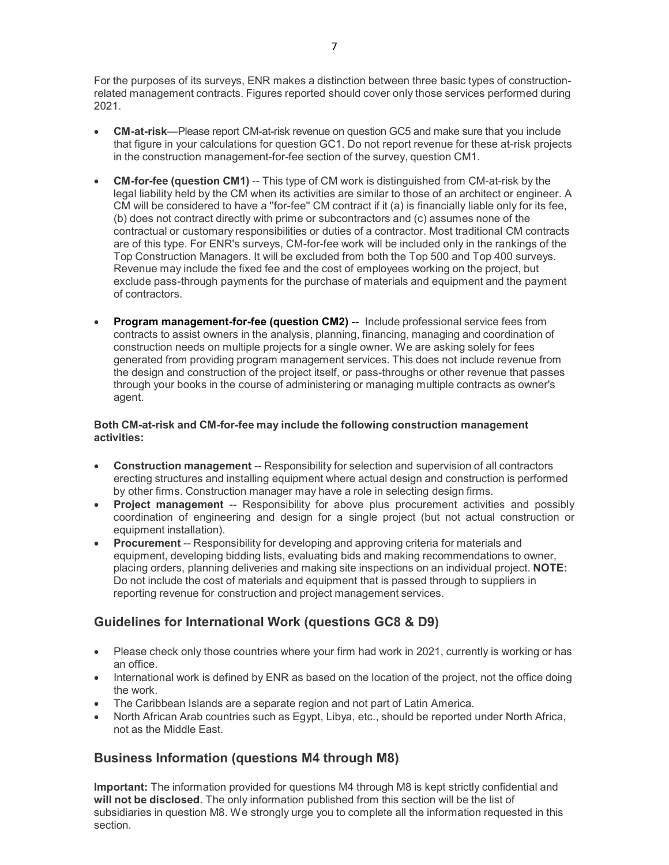For the purposes of its surveys, ENR makes a distinction between three basic types of constructionrelated management contracts. Figures reported should cover only those services performed during 2021.

- **CM-at-risk**—Please report CM-at-risk revenue on question GC5 and make sure that you include that figure in your calculations for question GC1. Do not report revenue for these at-risk projects in the construction management-for-fee section of the survey, question CM1.
- **CM-for-fee (question CM1)** -- This type of CM work is distinguished from CM-at-risk by the legal liability held by the CM when its activities are similar to those of an architect or engineer. A CM will be considered to have a ''for-fee'' CM contract if it (a) is financially liable only for its fee, (b) does not contract directly with prime or subcontractors and (c) assumes none of the contractual or customary responsibilities or duties of a contractor. Most traditional CM contracts are of this type. For ENR's surveys, CM-for-fee work will be included only in the rankings of the Top Construction Managers. It will be excluded from both the Top 500 and Top 400 surveys. Revenue may include the fixed fee and the cost of employees working on the project, but exclude pass-through payments for the purchase of materials and equipment and the payment of contractors.
- **Program management-for-fee (question CM2) --** Include professional service fees from contracts to assist owners in the analysis, planning, financing, managing and coordination of construction needs on multiple projects for a single owner. We are asking solely for fees generated from providing program management services. This does not include revenue from the design and construction of the project itself, or pass-throughs or other revenue that passes through your books in the course of administering or managing multiple contracts as owner's agent.

#### **Both CM-at-risk and CM-for-fee may include the following construction management activities:**

- **Construction management** -- Responsibility for selection and supervision of all contractors erecting structures and installing equipment where actual design and construction is performed by other firms. Construction manager may have a role in selecting design firms.
- **Project management** -- Responsibility for above plus procurement activities and possibly coordination of engineering and design for a single project (but not actual construction or equipment installation).
- **Procurement** -- Responsibility for developing and approving criteria for materials and equipment, developing bidding lists, evaluating bids and making recommendations to owner, placing orders, planning deliveries and making site inspections on an individual project. **NOTE:** Do not include the cost of materials and equipment that is passed through to suppliers in reporting revenue for construction and project management services.

# **Guidelines for International Work (questions GC8 & D9)**

- Please check only those countries where your firm had work in 2021, currently is working or has an office.
- International work is defined by ENR as based on the location of the project, not the office doing the work.
- The Caribbean Islands are a separate region and not part of Latin America.
- North African Arab countries such as Egypt, Libya, etc., should be reported under North Africa, not as the Middle East.

# **Business Information (questions M4 through M8)**

**Important:** The information provided for questions M4 through M8 is kept strictly confidential and **will not be disclosed**. The only information published from this section will be the list of subsidiaries in question M8. We strongly urge you to complete all the information requested in this section.